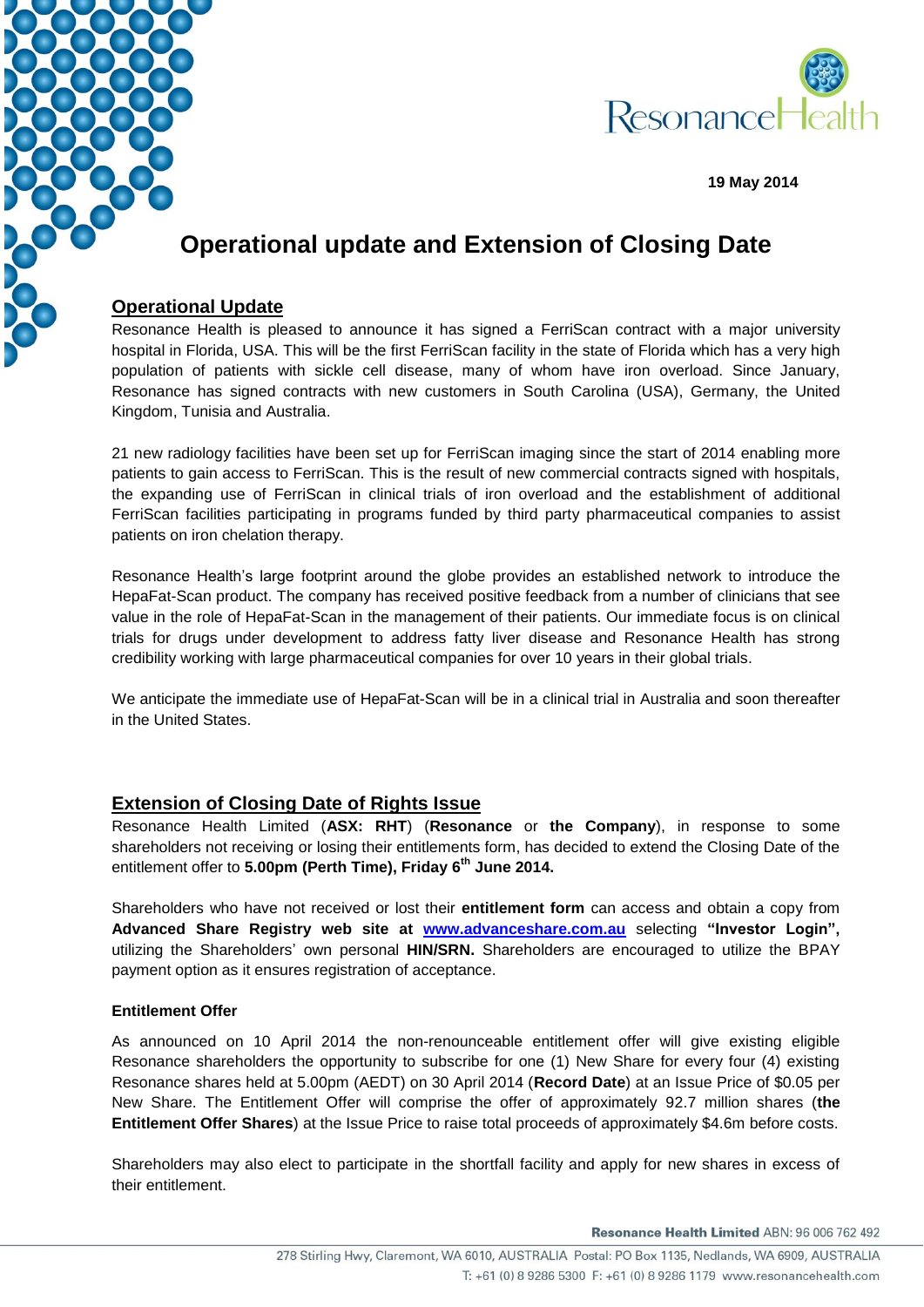



**19 May 2014**

# **Operational update and Extension of Closing Date**

### **Operational Update**

Resonance Health is pleased to announce it has signed a FerriScan contract with a major university hospital in Florida, USA. This will be the first FerriScan facility in the state of Florida which has a very high population of patients with sickle cell disease, many of whom have iron overload. Since January, Resonance has signed contracts with new customers in South Carolina (USA), Germany, the United Kingdom, Tunisia and Australia.

21 new radiology facilities have been set up for FerriScan imaging since the start of 2014 enabling more patients to gain access to FerriScan. This is the result of new commercial contracts signed with hospitals, the expanding use of FerriScan in clinical trials of iron overload and the establishment of additional FerriScan facilities participating in programs funded by third party pharmaceutical companies to assist patients on iron chelation therapy.

Resonance Health's large footprint around the globe provides an established network to introduce the HepaFat-Scan product. The company has received positive feedback from a number of clinicians that see value in the role of HepaFat-Scan in the management of their patients. Our immediate focus is on clinical trials for drugs under development to address fatty liver disease and Resonance Health has strong credibility working with large pharmaceutical companies for over 10 years in their global trials.

We anticipate the immediate use of HepaFat-Scan will be in a clinical trial in Australia and soon thereafter in the United States.

## **Extension of Closing Date of Rights Issue**

Resonance Health Limited (**ASX: RHT**) (**Resonance** or **the Company**), in response to some shareholders not receiving or losing their entitlements form, has decided to extend the Closing Date of the entitlement offer to **5.00pm (Perth Time), Friday 6th June 2014.**

Shareholders who have not received or lost their **entitlement form** can access and obtain a copy from **Advanced Share Registry web site at [www.advanceshare.com.au](http://www.advanceshare.com.au/)** selecting **"Investor Login",** utilizing the Shareholders' own personal **HIN/SRN.** Shareholders are encouraged to utilize the BPAY payment option as it ensures registration of acceptance.

#### **Entitlement Offer**

As announced on 10 April 2014 the non-renounceable entitlement offer will give existing eligible Resonance shareholders the opportunity to subscribe for one (1) New Share for every four (4) existing Resonance shares held at 5.00pm (AEDT) on 30 April 2014 (**Record Date**) at an Issue Price of \$0.05 per New Share. The Entitlement Offer will comprise the offer of approximately 92.7 million shares (**the Entitlement Offer Shares**) at the Issue Price to raise total proceeds of approximately \$4.6m before costs.

Shareholders may also elect to participate in the shortfall facility and apply for new shares in excess of their entitlement.